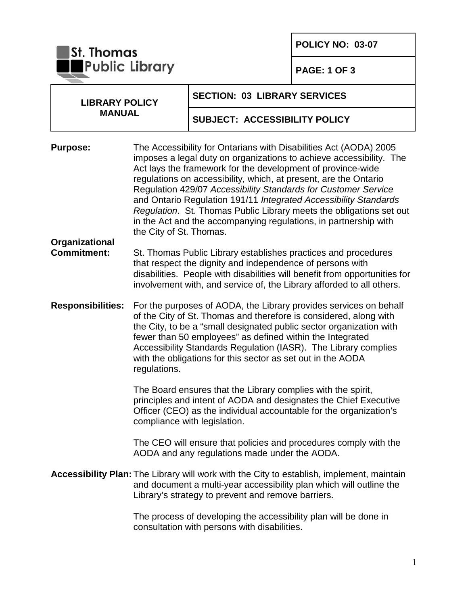**POLICY NO: 03-07**

**St. Thomas**<br>Public Library

**PAGE: 1 OF 3** 

| <b>LIBRARY POLICY</b><br><b>MANUAL</b> |                                                                                                                                                                                                                                                                                                                                                                                                                                                                                                                                                                                         | <b>SECTION: 03 LIBRARY SERVICES</b>                                                                                                                                                                                                                                                |  |
|----------------------------------------|-----------------------------------------------------------------------------------------------------------------------------------------------------------------------------------------------------------------------------------------------------------------------------------------------------------------------------------------------------------------------------------------------------------------------------------------------------------------------------------------------------------------------------------------------------------------------------------------|------------------------------------------------------------------------------------------------------------------------------------------------------------------------------------------------------------------------------------------------------------------------------------|--|
|                                        |                                                                                                                                                                                                                                                                                                                                                                                                                                                                                                                                                                                         | <b>SUBJECT: ACCESSIBILITY POLICY</b>                                                                                                                                                                                                                                               |  |
| <b>Purpose:</b>                        | The Accessibility for Ontarians with Disabilities Act (AODA) 2005<br>imposes a legal duty on organizations to achieve accessibility. The<br>Act lays the framework for the development of province-wide<br>regulations on accessibility, which, at present, are the Ontario<br>Regulation 429/07 Accessibility Standards for Customer Service<br>and Ontario Regulation 191/11 Integrated Accessibility Standards<br>Regulation. St. Thomas Public Library meets the obligations set out<br>in the Act and the accompanying regulations, in partnership with<br>the City of St. Thomas. |                                                                                                                                                                                                                                                                                    |  |
| Organizational<br><b>Commitment:</b>   |                                                                                                                                                                                                                                                                                                                                                                                                                                                                                                                                                                                         | St. Thomas Public Library establishes practices and procedures<br>that respect the dignity and independence of persons with<br>disabilities. People with disabilities will benefit from opportunities for<br>involvement with, and service of, the Library afforded to all others. |  |
| <b>Responsibilities:</b>               | For the purposes of AODA, the Library provides services on behalf<br>of the City of St. Thomas and therefore is considered, along with<br>the City, to be a "small designated public sector organization with<br>fewer than 50 employees" as defined within the Integrated<br>Accessibility Standards Regulation (IASR). The Library complies<br>with the obligations for this sector as set out in the AODA<br>regulations.                                                                                                                                                            |                                                                                                                                                                                                                                                                                    |  |
|                                        |                                                                                                                                                                                                                                                                                                                                                                                                                                                                                                                                                                                         | The Board ensures that the Library complies with the spirit,<br>principles and intent of AODA and designates the Chief Executive<br>Officer (CEO) as the individual accountable for the organization's<br>compliance with legislation.                                             |  |
|                                        |                                                                                                                                                                                                                                                                                                                                                                                                                                                                                                                                                                                         | The CEO will ensure that policies and procedures comply with the<br>AODA and any regulations made under the AODA.                                                                                                                                                                  |  |
|                                        |                                                                                                                                                                                                                                                                                                                                                                                                                                                                                                                                                                                         | <b>Accessibility Plan:</b> The Library will work with the City to establish, implement, maintain<br>and document a multi-year accessibility plan which will outline the<br>Library's strategy to prevent and remove barriers.                                                      |  |
|                                        |                                                                                                                                                                                                                                                                                                                                                                                                                                                                                                                                                                                         | The process of developing the accessibility plan will be done in<br>consultation with persons with disabilities.                                                                                                                                                                   |  |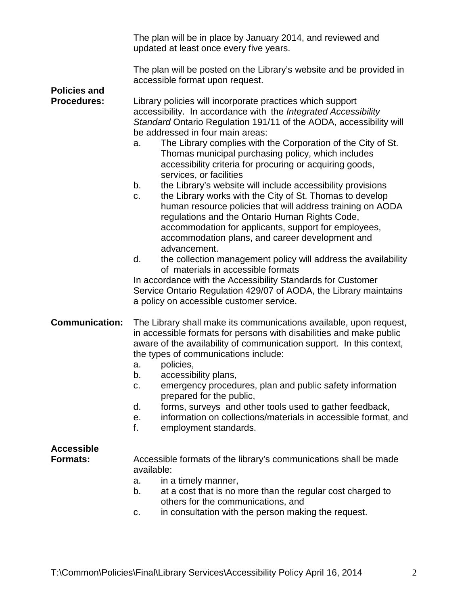|                                           | The plan will be in place by January 2014, and reviewed and<br>updated at least once every five years.                                                                                                                                                                                                                                                                                                                                                                                                                                                                                                                                                                                                                                                                                                                                                                                                                                                                                                                                                                                                                                  |  |  |  |
|-------------------------------------------|-----------------------------------------------------------------------------------------------------------------------------------------------------------------------------------------------------------------------------------------------------------------------------------------------------------------------------------------------------------------------------------------------------------------------------------------------------------------------------------------------------------------------------------------------------------------------------------------------------------------------------------------------------------------------------------------------------------------------------------------------------------------------------------------------------------------------------------------------------------------------------------------------------------------------------------------------------------------------------------------------------------------------------------------------------------------------------------------------------------------------------------------|--|--|--|
|                                           | The plan will be posted on the Library's website and be provided in<br>accessible format upon request.                                                                                                                                                                                                                                                                                                                                                                                                                                                                                                                                                                                                                                                                                                                                                                                                                                                                                                                                                                                                                                  |  |  |  |
| <b>Policies and</b><br><b>Procedures:</b> | Library policies will incorporate practices which support<br>accessibility. In accordance with the Integrated Accessibility<br>Standard Ontario Regulation 191/11 of the AODA, accessibility will<br>be addressed in four main areas:<br>The Library complies with the Corporation of the City of St.<br>a.<br>Thomas municipal purchasing policy, which includes<br>accessibility criteria for procuring or acquiring goods,<br>services, or facilities<br>the Library's website will include accessibility provisions<br>b.<br>the Library works with the City of St. Thomas to develop<br>c.<br>human resource policies that will address training on AODA<br>regulations and the Ontario Human Rights Code,<br>accommodation for applicants, support for employees,<br>accommodation plans, and career development and<br>advancement.<br>the collection management policy will address the availability<br>d.<br>of materials in accessible formats<br>In accordance with the Accessibility Standards for Customer<br>Service Ontario Regulation 429/07 of AODA, the Library maintains<br>a policy on accessible customer service. |  |  |  |
| <b>Communication:</b>                     | The Library shall make its communications available, upon request,<br>in accessible formats for persons with disabilities and make public<br>aware of the availability of communication support. In this context,<br>the types of communications include:<br>policies,<br>a.<br>accessibility plans,<br>b.                                                                                                                                                                                                                                                                                                                                                                                                                                                                                                                                                                                                                                                                                                                                                                                                                              |  |  |  |

- c. emergency procedures, plan and public safety information prepared for the public,
- d. forms, surveys and other tools used to gather feedback,
- e. information on collections/materials in accessible format, and
- f. employment standards.

## **Accessible**

**Formats:** Accessible formats of the library's communications shall be made available:

- a. in a timely manner,
- b. at a cost that is no more than the regular cost charged to others for the communications, and
- c. in consultation with the person making the request.